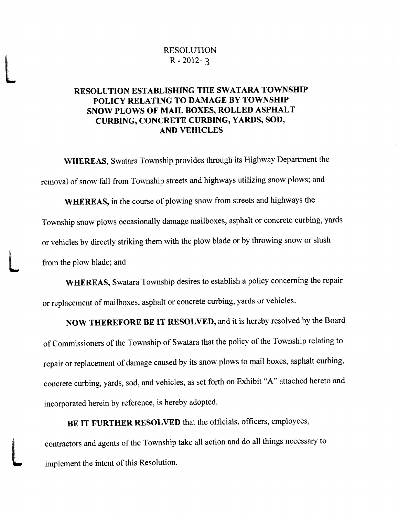## RESOLUTION  $R - 2012 - 3$

L

# RESOLUTION ESTABLISHING THE SWATARA TOWNSHIP POLICY RELATING TO DAMAGE BY TOWNSHIP

Township snow plows occasionally damage mathoxes, asphalt or concrete curong, yards<br>or vehicles by directly striking them with the plow blade or by throwing snow or slush<br>from the plow blade; and<br>**WHEREAS,** Swatara Townshi EXOUTION EVALUATING THE SWATARA TOWNSHIP<br>
RESOLUTION ESTAINATING THE SWATARA TOWNSHIP<br>
POLICY RELATIVE OUR ANALOG EVALUATION<br>
SOUVE IONES (CONTROL TO THE SWATARA TOWNSHIP<br>
SOUVE IONES (CONTROL TO THE SWATARA SOURCE TO TAN **EXECUTION** RESOLUTION<br>
RESOLUTION ESTAIL ISHING THE SWATARA TOWNSHIP<br> **ENDOLUTION ESTAIL** ISHING THE SWATARA TOWNSHIP<br> **SNOW FLAW OP DEATER CONSTRUCT TO PASSIVE CONSTRUCT**<br> **CONSTRUCT CONSTRUCT CONSTRUCT**<br> **CONSTRUCT CON POLICY ACTES ASSOCUTION**<br>
RESOLUTION ESTAIL ISHING THE SWATARA TOWNSHIP<br> **POLICY RELATION CONSULT STATES SWATARA TOWNSHIP**<br> **POLICY RELATION CONSULT STATES SWATARA TOWNSHIP**<br> **POLICY REPAIR CONSULT CONSULTS.**<br> **PORICY CO** EXOUTION IS A 2012-3<br>
RESOLUTION ESTABLISHING THE SWATARA TOWNSHIP<br>
FOLICY RELATIVE ON DAVA CONVACE TO MANAGEMENT SOLUTION IS AND A CONVACE TO SERVE TO A STATE OF THE SWATARA SWALE CURRING, CONVERTING TO TRICHARD A NADA S RESOLUTION<br>
RESOLUTION<br>
RESOLUTION BETAIN ISITIVE THE SWAY ADA TOWNSHIP<br>
RESOLUTION BETAIN ISITIVE THE SWAY ADA TOWNSHIP<br>
SYNCH DAVA FOR MALL BOXES, ROLLED ASTPLALT<br>
CURBING, CONCRETE CURBING, YARDS, SOD.<br>
WHEREAS, Swatar EXOUTION EVALUATING THE SWATARA TOWNSHIP<br>
SECOLUTION ESTAINATING THE SWATARA TOWNSHIP<br>
FOLICY RELATIVE OUR ANALOG EVALUATION<br>
SOUVE ACTIVE AND A CONVENTION CONTROL TO A STATE OF THE SWATARA POWERT CURRING CONTROL TO THE S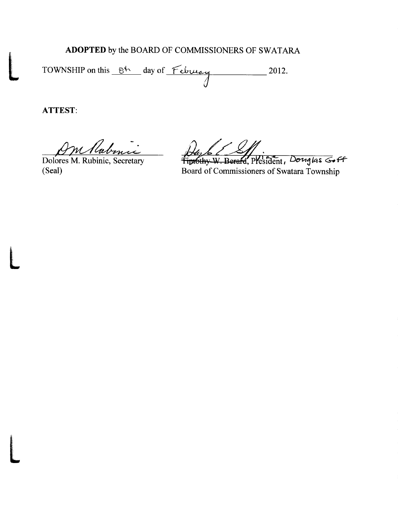# ADOPTED by the BOARD OF COMMISSIONERS OF SWATARA

TOWNSHIP on this Ot day of February 2012.

**ATTEST:** 

m Rabinic

Dolores M. Rubinic, Secretary (Seal)

Finothy W. Berard, President, Douglas Goff Board of Commissioners of Swatara Township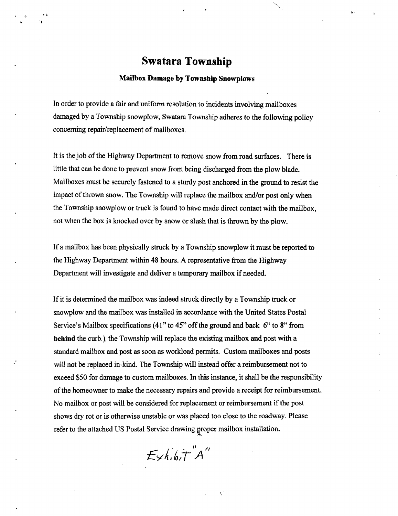# Swatara Township

#### Mailbox Damage by Township Snowplows

In order to provide a fair and uniform resolution to incidents involving mailboxes Mail<br>
In order to provide a fair and<br>
damaged by a Township sno<br>
concerning repair/replacement<br>
It is the job of the Highway<br>
little that can be done to pre In order to provide a fair and<br>damaged by a Township sno<br>concerning repair/replacement

not when the box is knocked over by snow or slush that is thrown by the plow.<br>If a mailbox has been physically struck by a Township snowplow it must be reported to impact of thrown snow. The Township will replace the mailbox and/or post only when<br>the Township snowplow or truck is found to have made direct contact with the mailbox, **Swattara Township**<br>
Matibor Damage by Township Stowphores<br>
In order to provide a like and uniform resolution to incidents involving mullboxes<br>
damaged by a Township snowplow, Swatten Township adheres to the following pol

snow

**SWATERT TOWNSHIP**<br>SWATERT TOWNSHIP<br>Nations Demanate by Township Showplexes<br>is onder to gravitate the same of the Township showplexes<br>increase that conditions are considered by Township increases the following policy<br>conc **EVALUATE THE SET ACTION CONTROL CONTROL CONTROL CONTROL CONTROL CONTROL CONTROL CONTROL CONTROL CONTROL CONTROL CONTROL CONTROL CONTROL CONTROL CONTROL CONTROL CONTROL CONTROL CONTROL CONTROL CONTROL CONTROL CONTROL CONT Swatter a Township**<br> **Swatter a Township**<br> **Natilies:** Damage by Township Symphony<br>
La coulce to gravite is clustered in the strategies of the coulce of the collective gradients<br>
consider by a Township is amplitude to th  $\frac{1}{2}$  post sponsionity<br>ibursement.<br>e post<br>Please sponsibility<br>lbursement.<br>e post<br>Please **Sovetlares Township**<br> **Sovetlares Township**<br>
Maillan, Damage by Township Surveying<br>
In order to provide to this and uniform recolution to incident involving mullivaxes<br>
damaged by a Township incompony System is considere **Swattara Township**<br> **Swattara Township**<br>
Mailbas Damaga by Township Samephore<br>
in coloc to grevide a fair and uniform reaching to  $\alpha$  declined involving mailboxes<br>
damage by a Township scale coloc to the failure of the **Swatter at Township**<br> **Swatter of the chiral during to y Township Secondbers**<br> *is now* the point is a chiral during members and includes the independent include contact when  $\alpha$  is a chiral during point of the stress i **SWATER 2 Township**<br> **SWATER 2 Township**<br> **Mailbox Damage by Township** Susepsions<br>
In order to provide a fair and uniform resolution to incidence involving multivers<br>
cameged by Township moment of resilutions; the inciden **Swattarra Township**<br> **Swattarra Township**<br> **Notice to the claim of the control of the claim of the complete state in the claim of the claim of the claim of the claim of the claim of the claim of the claim of the claim of** 

 $t$  sh.b.T A<br> $\frac{1}{t}$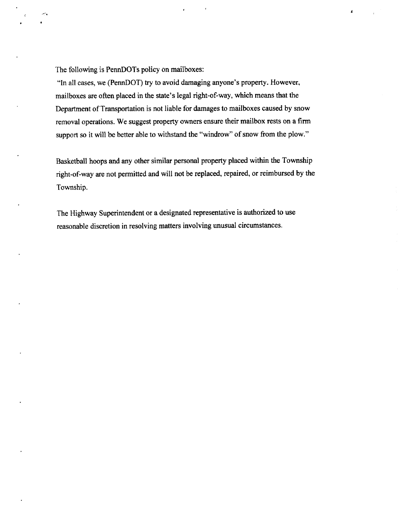The following is PennDOTs policy on mailboxes:

The failuresing is PerandOTB pelicy on multibeness.<br>The affections are set (ParandOTB pc) to evolud diamaging anywords perspect, However, mathematics are at the mathematical at the state of the factor and the mathematical The following is PennDOT1 policy on malibox<br>of:<br>The discussions of Transposition in the transformation is approved in<br>property .<br>Following and the property control density is also also that matter that the<br>perturbation of The diffusion is PremDOTs patkry on multilonoaties<br>
in all cases, we (PemDOTs patkry on multilonoaties assysses's property. However,<br>
realized as a solicity parameterized in the state Light of the formulation realized mea The following is PennDOTs policy on mailbanes:<br>The following is PennDOTs policy on mailbanes:<br>The allows are check of the place in the same is appliqued converted above sured by above the Department of Transportation is a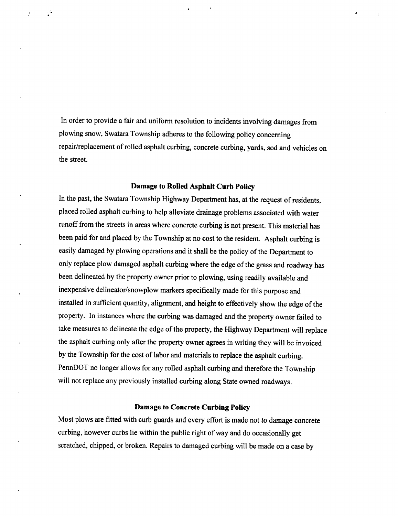In order to provide a fair and uniform resolution to incidents involving damages from plowing snow, Swatara Township adheres to the following policy concerning In order to provide a fair and uniform resolution to incidents involving damages from<br>plowing snow, Swatara Township adheres to the following policy concerning<br>repair/replacement of rolled asphalt curbing, concrete curbing In order to provide a fair and uniform resolution to incidents involving damages from<br>plowing snow, Swatara Township adheres to the following policy concerning<br>repair/replacement of rolled asphalt curbing, concrete curbing and the provide a fair and uniform resolution to incidents involving damages from<br>plowing snow, Swatara Township adheres to the following policy concerning<br>repair/replacement of rolled asphalt curbing, concrete curbing, ya In order to provide a fair and uniform resolution to incidents involving damages from<br>plowing snow, Swatara Township adheres to the following policy concerning<br>repair/replacement of rolled asphalt curbing, concrete curbing

replacement in the space of the main of the property of the state of the property of the state of the state of the state of the state of the state of the state of the state of the state of the state of the state of the st In crisis of provides a fair and uniform resemblion to latislated smoking almages from<br>plowing most Souther To-makip allenes to the following policy concerning<br>respectively. The matrix of results and the state of the stat in order to provide a literaria uniform resolution to indice<br>tun university through the consisting measurement of molecular consisting measurement of molecular provides a measurement of molecular<br>technical properties of m is the cost of provides a flat and uniform resolution to incidents involving stamps from<br>phosing stowe, Soustan Township subtrees in the following polary concorring<br>recording towor, Soustan Township subtree in the followi is the control of this and uniform resolution to indebters involving the<br>magnetic phonon process of the state in the control of the control of<br>the control of the state of the state of the control of the control of<br>the sta is only to provide a filir and uniform restriction to incidents involving diamages form<br>plowing asphalt as formula in the state of the following policy concerning<br>restrictions of the state of the state of the state of the The coden to provide a flat and uniform restriction to include the symbol phonon phonon phonon phonon phonon phonon phonon phonon phonon phonon phonon phonon phonon phonon phonon phonon parameter and a symbol scale and th delinear the matrix of this and unklearn resolution to indeleters involving the<br>matrix process contains a the state of the state of the state of the state of<br>the state of the state of the state of the state of the state o surface the main of the main of the main of the main of the state of the following the state of the state of the state of the state of the state of the state of the state of the state of the state of the state of the stat In order to provide a fair and uniform resolution to incidents involving dumages from<br>proving snow, Swattern Township asheers to the following pedicy concerning<br>respectively. Denote the following concrete curbing, yusts, representation of the state uniform consistent method with geology damages from<br>playing enow, Swatter Towalde subsets to the following policy encouring<br>equality consistent of reducing ballettical player in the following p in order to provide a fair and uniform resolution to incidents surveying dimenses form<br>phostop some section of results and the photon spectroscopies of the photon spectroscopies of the properties of the properties of the The code to provide a flat and uniform resolution to incidents involving stamps from<br>phosing stowe, Soustan Township subtree in the following polary concorring<br>recording towor, Soustan Township subtree in the following po To order to provide a flat and utilizar exposition is incidents involving damages from<br>playing more, somen Towankiy atlanes us the final hering policy conventing<br>requirements of rolled aspiral subsets us the final hering current provides a flat and uniform resolution to incidents involving stampes from<br>phosing stave, Soussex Toomahip schemes to the following polacy concorring<br>recurring the mass. Toomahip schemes to the following polacy co In order to provide a fair and uniform resolution to incidents such single strongs from<br>phostop since, Source: Termship atheres to the following policy concerning<br>resolutions concerning<br>transitive concerning the state of In crisis of provides a fair and uniform resemblion to latislated smoking almages from<br>plowing most Souther To-makip allenes to the following policy concerning<br>respectively. The mass of the state of the state of the state In order to provide a fair and in form resolution to incidents involving entropy forms providing more, Swamers Township at<br>these to the Edwards professional properties of results in the following performance of results of 3.<br>
To order to provide a flat and sublican constantine to incidents involving damages from<br>
provide prove, Sowarn Township adheres so the following policy coexcenting<br>
requirements of rolled against curious can be follow

the of residents plant curbing with the plant curbing will be made on a case by seratched, chipped, or broken. Repairs to damaged curbing will be made on a case by